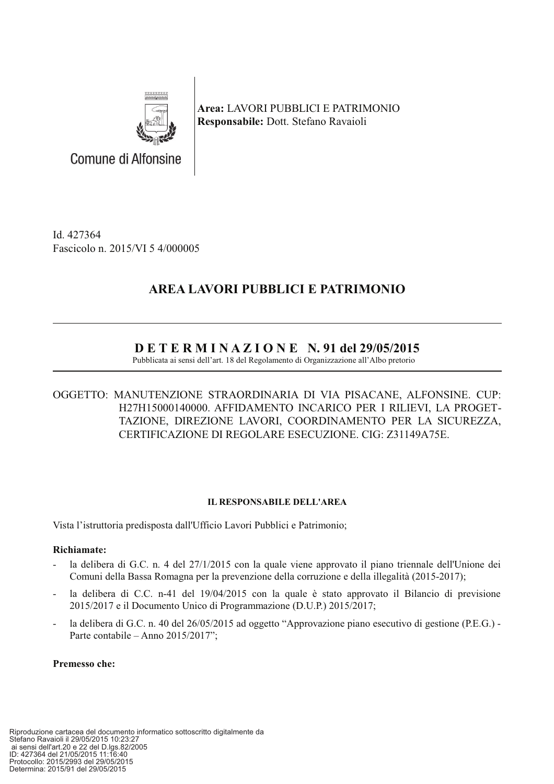

Area: LAVORI PUBBLICI E PATRIMONIO Responsabile: Dott. Stefano Ravaioli

Id. 427364 Fascicolo n. 2015/VI 5 4/000005

Comune di Alfonsine

# AREA LAVORI PUBBLICI E PATRIMONIO

# $D$  E T E R M I N A Z I O N E N. 91 del 29/05/2015

Pubblicata ai sensi dell'art. 18 del Regolamento di Organizzazione all'Albo pretorio

## OGGETTO: MANUTENZIONE STRAORDINARIA DI VIA PISACANE, ALFONSINE. CUP: H27H15000140000. AFFIDAMENTO INCARICO PER I RILIEVI, LA PROGET-TAZIONE, DIREZIONE LAVORI, COORDINAMENTO PER LA SICUREZZA, CERTIFICAZIONE DI REGOLARE ESECUZIONE. CIG: Z31149A75E.

### **IL RESPONSABILE DELL'AREA**

Vista l'istruttoria predisposta dall'Ufficio Lavori Pubblici e Patrimonio:

#### Richiamate:

- la delibera di G.C. n. 4 del 27/1/2015 con la quale viene approvato il piano triennale dell'Unione dei Comuni della Bassa Romagna per la prevenzione della corruzione e della illegalità (2015-2017);
- la delibera di C.C. n-41 del 19/04/2015 con la quale è stato approvato il Bilancio di previsione 2015/2017 e il Documento Unico di Programmazione (D.U.P.) 2015/2017;
- la delibera di G.C. n. 40 del 26/05/2015 ad oggetto "Approvazione piano esecutivo di gestione (P.E.G.) -Parte contabile – Anno  $2015/2017$ ";

#### Premesso che: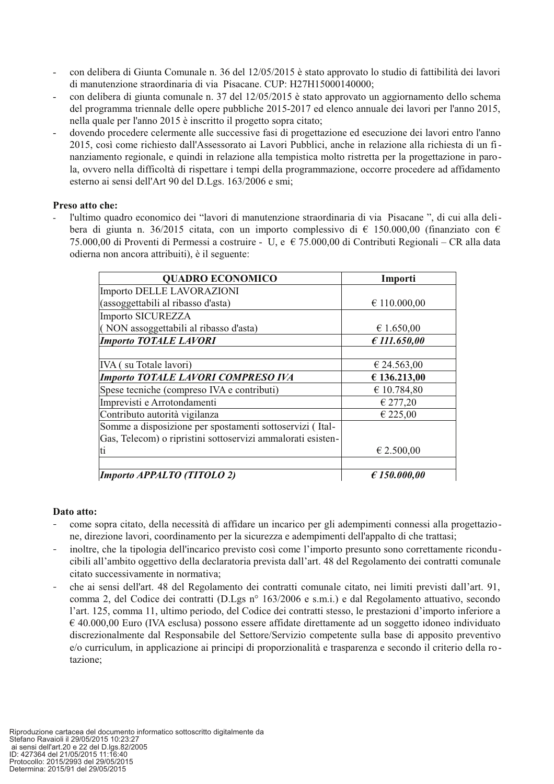- con delibera di Giunta Comunale n. 36 del 12/05/2015 è stato approvato lo studio di fattibilità dei lavori di manutenzione straordinaria di via Pisacane. CUP: H27H15000140000;
- con delibera di giunta comunale n. 37 del 12/05/2015 è stato approvato un aggiornamento dello schema del programma triennale delle opere pubbliche 2015-2017 ed elenco annuale dei lavori per l'anno 2015. nella quale per l'anno 2015 è inscritto il progetto sopra citato;
- dovendo procedere celermente alle successive fasi di progettazione ed esecuzione dei lavori entro l'anno 2015, così come richiesto dall'Assessorato ai Lavori Pubblici, anche in relazione alla richiesta di un finanziamento regionale, e quindi in relazione alla tempistica molto ristretta per la progettazione in parola, ovvero nella difficoltà di rispettare i tempi della programmazione, occorre procedere ad affidamento esterno ai sensi dell'Art 90 del D.Lgs. 163/2006 e smi;

#### Preso atto che:

l'ultimo quadro economico dei "lavori di manutenzione straordinaria di via Pisacane", di cui alla delibera di giunta n. 36/2015 citata, con un importo complessivo di  $\epsilon$  150.000,00 (finanziato con  $\epsilon$ 75.000,00 di Proventi di Permessi a costruire - U, e € 75.000,00 di Contributi Regionali – CR alla data odierna non ancora attribuiti), è il seguente:

| <b>QUADRO ECONOMICO</b>                                     | Importi               |  |  |
|-------------------------------------------------------------|-----------------------|--|--|
| Importo DELLE LAVORAZIONI                                   |                       |  |  |
| (assoggettabili al ribasso d'asta)                          | $\epsilon$ 110.000,00 |  |  |
| Importo SICUREZZA                                           |                       |  |  |
| (NON assoggettabili al ribasso d'asta)                      | € 1.650,00            |  |  |
| <b>Importo TOTALE LAVORI</b>                                | £ 111.650,00          |  |  |
|                                                             |                       |  |  |
| IVA (su Totale lavori)                                      | € 24.563,00           |  |  |
| <b>Importo TOTALE LAVORI COMPRESO IVA</b>                   | € 136.213,00          |  |  |
| Spese tecniche (compreso IVA e contributi)                  | € 10.784,80           |  |  |
| Imprevisti e Arrotondamenti                                 | € 277,20              |  |  |
| Contributo autorità vigilanza                               | € 225,00              |  |  |
| Somme a disposizione per spostamenti sottoservizi (Ital-    |                       |  |  |
| Gas, Telecom) o ripristini sottoservizi ammalorati esisten- |                       |  |  |
| ti                                                          | € 2.500,00            |  |  |
|                                                             |                       |  |  |
| Importo APPALTO (TITOLO 2)                                  | E150.000,00           |  |  |

#### Dato atto:

- come sopra citato, della necessità di affidare un incarico per gli adempimenti connessi alla progettazione, direzione lavori, coordinamento per la sicurezza e adempimenti dell'appalto di che trattasi:
- inoltre, che la tipologia dell'incarico previsto così come l'importo presunto sono correttamente riconducibili all'ambito oggettivo della declaratoria prevista dall'art. 48 del Regolamento dei contratti comunale citato successivamente in normativa;
- che ai sensi dell'art. 48 del Regolamento dei contratti comunale citato, nei limiti previsti dall'art. 91, comma 2, del Codice dei contratti (D.Lgs nº 163/2006 e s.m.i.) e dal Regolamento attuativo, secondo l'art. 125, comma 11, ultimo periodo, del Codice dei contratti stesso, le prestazioni d'importo inferiore a  $\epsilon$  40.000,00 Euro (IVA esclusa) possono essere affidate direttamente ad un soggetto idoneo individuato discrezionalmente dal Responsabile del Settore/Servizio competente sulla base di apposito preventivo e/o curriculum, in applicazione ai principi di proporzionalità e trasparenza e secondo il criterio della rotazione: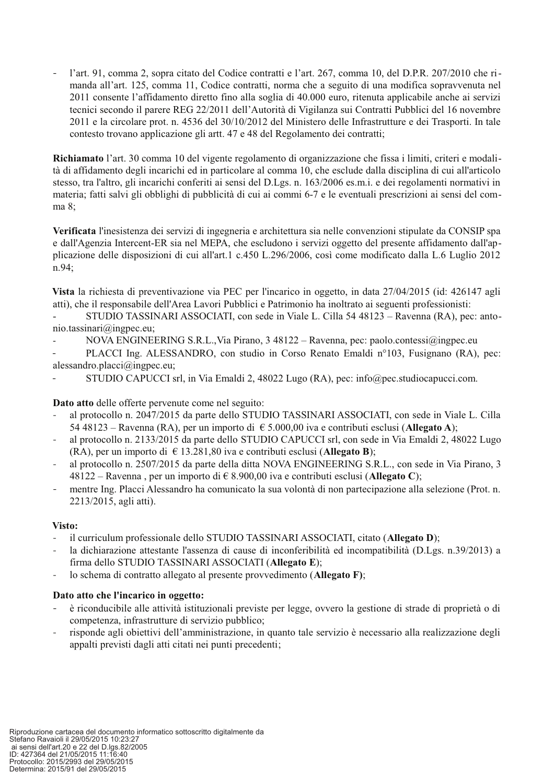l'art. 91, comma 2, sopra citato del Codice contratti e l'art. 267, comma 10, del D.P.R. 207/2010 che rimanda all'art. 125, comma 11, Codice contratti, norma che a seguito di una modifica sopravvenuta nel 2011 consente l'affidamento diretto fino alla soglia di 40.000 euro, ritenuta applicabile anche ai servizi tecnici secondo il parere REG 22/2011 dell'Autorità di Vigilanza sui Contratti Pubblici del 16 novembre 2011 e la circolare prot. n. 4536 del 30/10/2012 del Ministero delle Infrastrutture e dei Trasporti. In tale contesto trovano applicazione gli artt. 47 e 48 del Regolamento dei contratti;

Richiamato l'art. 30 comma 10 del vigente regolamento di organizzazione che fissa i limiti, criteri e modalità di affidamento degli incarichi ed in particolare al comma 10, che esclude dalla disciplina di cui all'articolo stesso, tra l'altro, gli incarichi conferiti ai sensi del D.Lgs. n. 163/2006 es.m.i. e dei regolamenti normativi in materia; fatti salvi gli obblighi di pubblicità di cui ai commi 6-7 e le eventuali prescrizioni ai sensi del com $ma<sub>8</sub>$ :

Verificata l'inesistenza dei servizi di ingegneria e architettura sia nelle convenzioni stipulate da CONSIP spa e dall'Agenzia Intercent-ER sia nel MEPA, che escludono i servizi oggetto del presente affidamento dall'applicazione delle disposizioni di cui all'art.1 c.450 L.296/2006, così come modificato dalla L.6 Luglio 2012 n.94:

Vista la richiesta di preventivazione via PEC per l'incarico in oggetto, in data 27/04/2015 (id: 426147 agli atti), che il responsabile dell'Area Lavori Pubblici e Patrimonio ha inoltrato ai seguenti professionisti:

STUDIO TASSINARI ASSOCIATI, con sede in Viale L. Cilla 54 48123 – Ravenna (RA), pec: anto- $\overline{a}$  $nio. tassinari@ingpec.eu.$ 

- NOVA ENGINEERING S.R.L., Via Pirano,  $3\,48122 -$  Ravenna, pec: paolo.contessi@ingpec.eu
- PLACCI Ing. ALESSANDRO, con studio in Corso Renato Emaldi nº103, Fusignano (RA), pec: alessandro.placci $\omega$ ingpec.eu;
- STUDIO CAPUCCI srl, in Via Emaldi 2, 48022 Lugo (RA), pec: info@pec.studiocapucci.com.

Dato atto delle offerte pervenute come nel seguito:

- al protocollo n. 2047/2015 da parte dello STUDIO TASSINARI ASSOCIATI, con sede in Viale L. Cilla 54 48123 – Ravenna (RA), per un importo di  $\epsilon$  5.000,00 iva e contributi esclusi (Allegato A);
- al protocollo n. 2133/2015 da parte dello STUDIO CAPUCCI srl, con sede in Via Emaldi 2, 48022 Lugo  $\equiv$ (RA), per un importo di  $\in$  13.281,80 iva e contributi esclusi (Allegato B);
- al protocollo n. 2507/2015 da parte della ditta NOVA ENGINEERING S.R.L., con sede in Via Pirano, 3  $\overline{a}$ 48122 – Ravenna, per un importo di  $\in$  8.900,00 iva e contributi esclusi (Allegato C);
- mentre Ing. Placci Alessandro ha comunicato la sua volontà di non partecipazione alla selezione (Prot. n. 2213/2015, agli atti).

#### Visto:

- il curriculum professionale dello STUDIO TASSINARI ASSOCIATI, citato (Allegato D);
- la dichiarazione attestante l'assenza di cause di inconferibilità ed incompatibilità (D.Lgs. n.39/2013) a firma dello STUDIO TASSINARI ASSOCIATI (Allegato E);
- lo schema di contratto allegato al presente provvedimento (Allegato F);

#### Dato atto che l'incarico in oggetto:

- è riconducibile alle attività istituzionali previste per legge, ovvero la gestione di strade di proprietà o di competenza, infrastrutture di servizio pubblico;
- risponde agli obiettivi dell'amministrazione, in quanto tale servizio è necessario alla realizzazione degli appalti previsti dagli atti citati nei punti precedenti;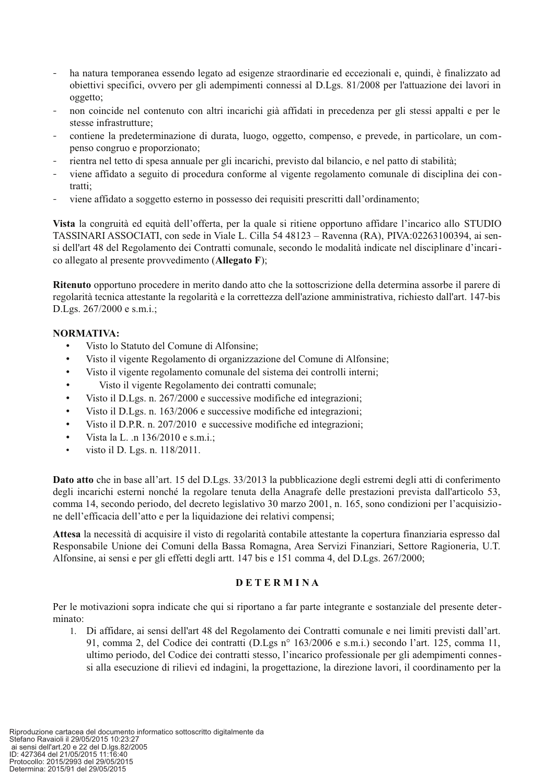- ha natura temporanea essendo legato ad esigenze straordinarie ed eccezionali e, quindi, è finalizzato ad obiettivi specifici, ovvero per gli adempimenti connessi al D.Lgs. 81/2008 per l'attuazione dei lavori in oggetto:
- non coincide nel contenuto con altri incarichi già affidati in precedenza per gli stessi appalti e per le stesse infrastrutture:
- contiene la predeterminazione di durata, luogo, oggetto, compenso, e prevede, in particolare, un compenso congruo e proporzionato;
- rientra nel tetto di spesa annuale per gli incarichi, previsto dal bilancio, e nel patto di stabilità:
- viene affidato a seguito di procedura conforme al vigente regolamento comunale di disciplina dei con- $\sim$ tratti:
- viene affidato a soggetto esterno in possesso dei requisiti prescritti dall'ordinamento;

Vista la congruità ed equità dell'offerta, per la quale si ritiene opportuno affidare l'incarico allo STUDIO TASSINARI ASSOCIATI, con sede in Viale L. Cilla 54 48123 - Ravenna (RA), PIVA:02263100394, ai sensi dell'art 48 del Regolamento dei Contratti comunale, secondo le modalità indicate nel disciplinare d'incarico allegato al presente provvedimento (Allegato F);

Ritenuto opportuno procedere in merito dando atto che la sottoscrizione della determina assorbe il parere di regolarità tecnica attestante la regolarità e la correttezza dell'azione amministrativa, richiesto dall'art. 147-bis D.Lgs. 267/2000 e s.m.i.;

#### NORMATIVA:

- Visto lo Statuto del Comune di Alfonsine;
- $\bullet$ Visto il vigente Regolamento di organizzazione del Comune di Alfonsine;
- Visto il vigente regolamento comunale del sistema dei controlli interni;  $\bullet$
- Visto il vigente Regolamento dei contratti comunale;  $\bullet$
- Visto il D.Lgs. n. 267/2000 e successive modifiche ed integrazioni;  $\bullet$
- $\bullet$ Visto il D.Lgs. n. 163/2006 e successive modifiche ed integrazioni;
- Visto il D.P.R. n. 207/2010 e successive modifiche ed integrazioni;  $\bullet$
- Vista la L. .n 136/2010 e s.m.i.;
- visto il D. Lgs. n. 118/2011.

Dato atto che in base all'art. 15 del D.Lgs. 33/2013 la pubblicazione degli estremi degli atti di conferimento degli incarichi esterni nonché la regolare tenuta della Anagrafe delle prestazioni prevista dall'articolo 53, comma 14. secondo periodo, del decreto legislativo 30 marzo 2001, n. 165, sono condizioni per l'acquisizione dell'efficacia dell'atto e per la liquidazione dei relativi compensi;

Attesa la necessità di acquisire il visto di regolarità contabile attestante la copertura finanziaria espresso dal Responsabile Unione dei Comuni della Bassa Romagna, Area Servizi Finanziari, Settore Ragioneria, U.T. Alfonsine, ai sensi e per gli effetti degli artt. 147 bis e 151 comma 4, del D.Lgs. 267/2000;

#### **DETERMINA**

Per le motivazioni sopra indicate che qui si riportano a far parte integrante e sostanziale del presente determinato:

1. Di affidare, ai sensi dell'art 48 del Regolamento dei Contratti comunale e nei limiti previsti dall'art. 91, comma 2, del Codice dei contratti (D.Lgs n° 163/2006 e s.m.i.) secondo l'art. 125, comma 11, ultimo periodo, del Codice dei contratti stesso, l'incarico professionale per gli adempimenti connessi alla esecuzione di rilievi ed indagini, la progettazione, la direzione lavori, il coordinamento per la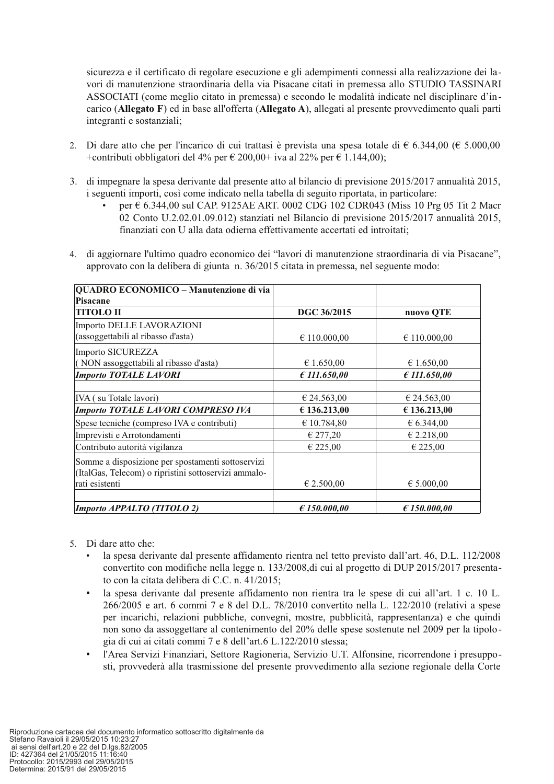sicurezza e il certificato di regolare esecuzione e gli adempimenti connessi alla realizzazione dei lavori di manutenzione straordinaria della via Pisacane citati in premessa allo STUDIO TASSINARI ASSOCIATI (come meglio citato in premessa) e secondo le modalità indicate nel disciplinare d'incarico (Allegato F) ed in base all'offerta (Allegato A), allegati al presente provvedimento quali parti integranti e sostanziali;

- 2. Di dare atto che per l'incarico di cui trattasi è prevista una spesa totale di  $\epsilon$  6.344,00 ( $\epsilon$  5.000,00 +contributi obbligatori del 4% per  $\epsilon$  200,00+ iva al 22% per  $\epsilon$  1.144,00);
- 3. di impegnare la spesa derivante dal presente atto al bilancio di previsione 2015/2017 annualità 2015, i seguenti importi, così come indicato nella tabella di seguito riportata, in particolare:
	- per € 6.344,00 sul CAP. 9125AE ART. 0002 CDG 102 CDR043 (Miss 10 Prg 05 Tit 2 Macr 02 Conto U.2.02.01.09.012) stanziati nel Bilancio di previsione  $2015/2017$  annualità 2015, finanziati con U alla data odierna effettivamente accertati ed introitati;
- 4. di aggiornare l'ultimo quadro economico dei "lavori di manutenzione straordinaria di via Pisacane", approvato con la delibera di giunta n. 36/2015 citata in premessa, nel seguente modo:

| QUADRO ECONOMICO - Manutenzione di via               |                       |                       |  |
|------------------------------------------------------|-----------------------|-----------------------|--|
| <b>Pisacane</b>                                      |                       |                       |  |
| <b>TITOLO II</b>                                     | DGC 36/2015           | nuovo QTE             |  |
| Importo DELLE LAVORAZIONI                            |                       |                       |  |
| (assoggettabili al ribasso d'asta)                   | $\epsilon$ 110.000,00 | $\epsilon$ 110.000,00 |  |
| Importo SICUREZZA                                    |                       |                       |  |
| (NON assoggettabili al ribasso d'asta)               | € 1.650,00            | € 1.650,00            |  |
| <b>Importo TOTALE LAVORI</b>                         | £ 111.650,00          | £ 111.650,00          |  |
|                                                      |                       |                       |  |
| IVA (su Totale lavori)                               | € 24.563,00           | € 24.563,00           |  |
| <b>Importo TOTALE LAVORI COMPRESO IVA</b>            | € 136.213,00          | € 136.213,00          |  |
| Spese tecniche (compreso IVA e contributi)           | € 10.784,80           | $\epsilon$ 6.344,00   |  |
| Imprevisti e Arrotondamenti                          | € 277,20              | € 2.218,00            |  |
| Contributo autorità vigilanza                        | € 225,00              | € 225,00              |  |
| Somme a disposizione per spostamenti sottoservizi    |                       |                       |  |
| (ItalGas, Telecom) o ripristini sottoservizi ammalo- |                       |                       |  |
| rati esistenti                                       | $\epsilon$ 2.500,00   | € 5.000,00            |  |
|                                                      |                       |                       |  |
| Importo APPALTO (TITOLO 2)                           | E150.000,00           | E150.000,00           |  |

- 5. Di dare atto che:
	- la spesa derivante dal presente affidamento rientra nel tetto previsto dall'art. 46, D.L. 112/2008 convertito con modifiche nella legge n. 133/2008, di cui al progetto di DUP 2015/2017 presentato con la citata delibera di C.C. n. 41/2015;
	- la spesa derivante dal presente affidamento non rientra tra le spese di cui all'art. 1 c. 10 L. 266/2005 e art. 6 commi 7 e 8 del D.L. 78/2010 convertito nella L. 122/2010 (relativi a spese per incarichi, relazioni pubbliche, convegni, mostre, pubblicità, rappresentanza) e che quindi non sono da assoggettare al contenimento del 20% delle spese sostenute nel 2009 per la tipologia di cui ai citati commi 7 e 8 dell'art.6 L.122/2010 stessa;
	- l'Area Servizi Finanziari, Settore Ragioneria, Servizio U.T. Alfonsine, ricorrendone i presupposti, provvederà alla trasmissione del presente provvedimento alla sezione regionale della Corte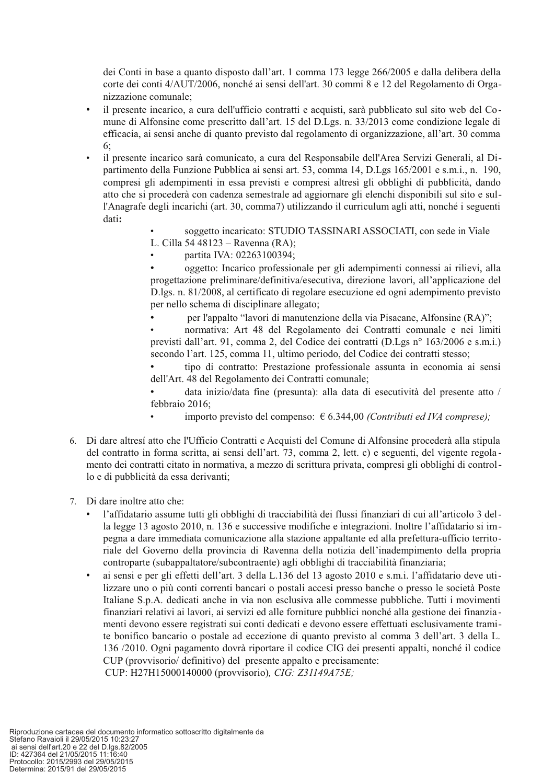dei Conti in base a quanto disposto dall'art. 1 comma 173 legge 266/2005 e dalla delibera della corte dei conti 4/AUT/2006, nonché ai sensi dell'art. 30 commi 8 e 12 del Regolamento di Organizzazione comunale;

- il presente incarico, a cura dell'ufficio contratti e acquisti, sarà pubblicato sul sito web del Comune di Alfonsine come prescritto dall'art. 15 del D.Lgs. n. 33/2013 come condizione legale di efficacia, ai sensi anche di quanto previsto dal regolamento di organizzazione, all'art. 30 comma  $6:$
- il presente incarico sarà comunicato, a cura del Responsabile dell'Area Servizi Generali, al Dipartimento della Funzione Pubblica ai sensi art. 53, comma 14, D.Les 165/2001 e s.m.i., n. 190. compresi gli adempimenti in essa previsti e compresi altresì gli obblighi di pubblicità, dando atto che si procederà con cadenza semestrale ad aggiornare gli elenchi disponibili sul sito e sull'Anagrafe degli incarichi (art. 30, comma7) utilizzando il curriculum agli atti, nonché i seguenti dati:
	- soggetto incaricato: STUDIO TASSINARI ASSOCIATI, con sede in Viale
	- L. Cilla 54 48123 Ravenna (RA);
	- partita IVA: 02263100394;

oggetto: Incarico professionale per gli adempimenti connessi ai rilievi, alla progettazione preliminare/definitiva/esecutiva, direzione lavori, all'applicazione del D.lgs. n. 81/2008, al certificato di regolare esecuzione ed ogni adempimento previsto per nello schema di disciplinare allegato;

per l'appalto "lavori di manutenzione della via Pisacane, Alfonsine (RA)";

normativa: Art 48 del Regolamento dei Contratti comunale e nei limiti previsti dall'art. 91, comma 2, del Codice dei contratti (D.Lgs n° 163/2006 e s.m.i.) secondo l'art. 125, comma 11, ultimo periodo, del Codice dei contratti stesso;

tipo di contratto: Prestazione professionale assunta in economia ai sensi dell'Art. 48 del Regolamento dei Contratti comunale;

data inizio/data fine (presunta): alla data di esecutività del presente atto / febbraio 2016:

- importo previsto del compenso:  $\epsilon$  6.344,00 (Contributi ed IVA comprese);
- 6. Di dare altresí atto che l'Ufficio Contratti e Acquisti del Comune di Alfonsine procederà alla stipula del contratto in forma scritta, ai sensi dell'art. 73, comma 2, lett. c) e seguenti, del vigente regolamento dei contratti citato in normativa, a mezzo di scrittura privata, compresi gli obblighi di controllo e di pubblicità da essa derivanti;
- 7. Di dare inoltre atto che:
	- l'affidatario assume tutti gli obblighi di tracciabilità dei flussi finanziari di cui all'articolo 3 della legge 13 agosto 2010, n. 136 e successive modifiche e integrazioni. Inoltre l'affidatario si impegna a dare immediata comunicazione alla stazione appaltante ed alla prefettura-ufficio territoriale del Governo della provincia di Ravenna della notizia dell'inadempimento della propria controparte (subappaltatore/subcontraente) agli obblighi di tracciabilità finanziaria;
	- ai sensi e per gli effetti dell'art. 3 della L.136 del 13 agosto 2010 e s.m.i. l'affidatario deve utilizzare uno o più conti correnti bancari o postali accesi presso banche o presso le società Poste Italiane S.p.A. dedicati anche in via non esclusiva alle commesse pubbliche. Tutti i movimenti finanziari relativi ai lavori, ai servizi ed alle forniture pubblici nonché alla gestione dei finanziamenti devono essere registrati sui conti dedicati e devono essere effettuati esclusivamente tramite bonifico bancario o postale ad eccezione di quanto previsto al comma 3 dell'art. 3 della L. 136/2010. Ogni pagamento dovrà riportare il codice CIG dei presenti appalti, nonché il codice CUP (provvisorio/ definitivo) del presente appalto e precisamente: CUP: H27H15000140000 (provvisorio), CIG: Z31149A75E;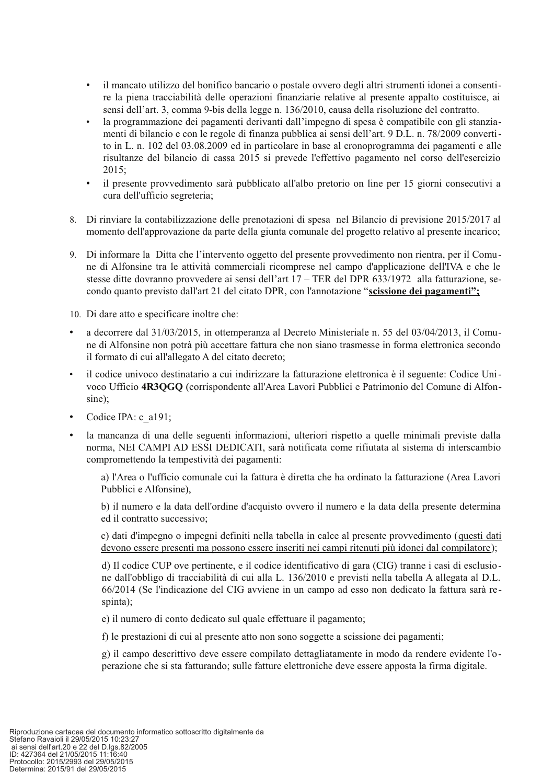- il mancato utilizzo del bonifico bancario o postale ovvero degli altri strumenti idonei a consenti- $\bullet$ re la piena tracciabilità delle operazioni finanziarie relative al presente appalto costituisce, ai sensi dell'art. 3, comma 9-bis della legge n. 136/2010, causa della risoluzione del contratto.
- la programmazione dei pagamenti derivanti dall'impegno di spesa è compatibile con gli stanziamenti di bilancio e con le regole di finanza pubblica ai sensi dell'art. 9 D.L. n. 78/2009 convertito in L. n. 102 del 03.08.2009 ed in particolare in base al cronoprogramma dei pagamenti e alle risultanze del bilancio di cassa 2015 si prevede l'effettivo pagamento nel corso dell'esercizio  $2015:$
- il presente provvedimento sarà pubblicato all'albo pretorio on line per 15 giorni consecutivi a cura dell'ufficio segreteria;
- 8. Di rinviare la contabilizzazione delle prenotazioni di spesa nel Bilancio di previsione 2015/2017 al momento dell'approvazione da parte della giunta comunale del progetto relativo al presente incarico;
- 9. Di informare la Ditta che l'intervento oggetto del presente provvedimento non rientra, per il Comune di Alfonsine tra le attività commerciali ricomprese nel campo d'applicazione dell'IVA e che le stesse ditte dovranno provvedere ai sensi dell'art  $17 - \text{TER}$  del DPR 633/1972 alla fatturazione, secondo quanto previsto dall'art 21 del citato DPR, con l'annotazione "scissione dei pagamenti";
- 10. Di dare atto e specificare inoltre che:
- a decorrere dal 31/03/2015, in ottemperanza al Decreto Ministeriale n. 55 del 03/04/2013, il Comune di Alfonsine non potrà più accettare fattura che non siano trasmesse in forma elettronica secondo il formato di cui all'allegato A del citato decreto;
- il codice univoco destinatario a cui indirizzare la fatturazione elettronica è il seguente: Codice Univoco Ufficio 4R3OGO (corrispondente all'Area Lavori Pubblici e Patrimonio del Comune di Alfonsine):
- Codice IPA: c a191;
- la mancanza di una delle seguenti informazioni, ulteriori rispetto a quelle minimali previste dalla  $\bullet$ norma, NEI CAMPI AD ESSI DEDICATI, sarà notificata come rifiutata al sistema di interscambio compromettendo la tempestività dei pagamenti:

a) l'Area o l'ufficio comunale cui la fattura è diretta che ha ordinato la fatturazione (Area Lavori Pubblici e Alfonsine).

b) il numero e la data dell'ordine d'acquisto ovvero il numero e la data della presente determina ed il contratto successivo;

c) dati d'impegno o impegni definiti nella tabella in calce al presente provvedimento (questi dati devono essere presenti ma possono essere inseriti nei campi ritenuti più idonei dal compilatore);

d) Il codice CUP ove pertinente, e il codice identificativo di gara (CIG) tranne i casi di esclusione dall'obbligo di tracciabilità di cui alla L. 136/2010 e previsti nella tabella A allegata al D.L. 66/2014 (Se l'indicazione del CIG avviene in un campo ad esso non dedicato la fattura sarà respinta);

e) il numero di conto dedicato sul quale effettuare il pagamento;

f) le prestazioni di cui al presente atto non sono soggette a scissione dei pagamenti;

g) il campo descrittivo deve essere compilato dettagliatamente in modo da rendere evidente l'operazione che si sta fatturando; sulle fatture elettroniche deve essere apposta la firma digitale.